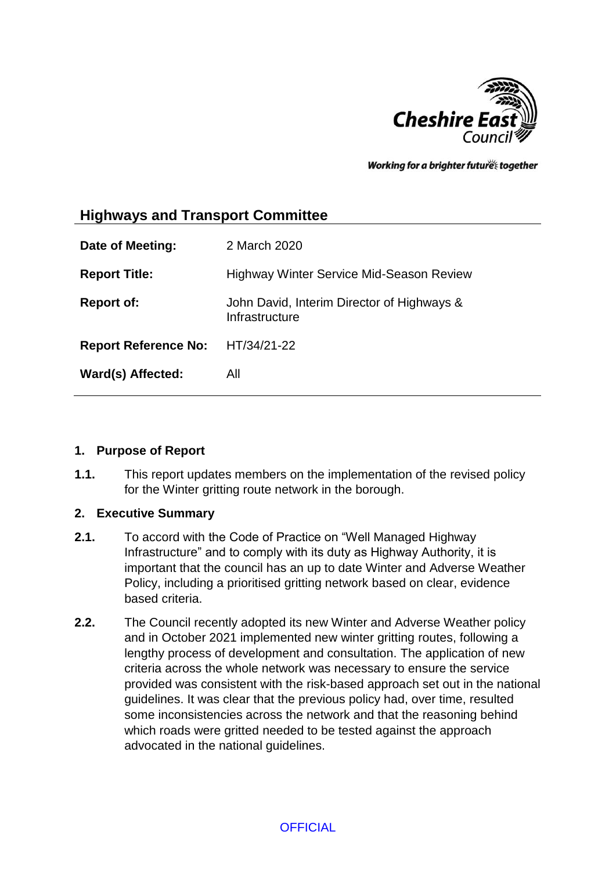

Working for a brighter futures together

# **Highways and Transport Committee**

| Date of Meeting:            | 2 March 2020                                                 |
|-----------------------------|--------------------------------------------------------------|
| <b>Report Title:</b>        | <b>Highway Winter Service Mid-Season Review</b>              |
| <b>Report of:</b>           | John David, Interim Director of Highways &<br>Infrastructure |
| <b>Report Reference No:</b> | HT/34/21-22                                                  |
| Ward(s) Affected:           | All                                                          |

### **1. Purpose of Report**

**1.1.** This report updates members on the implementation of the revised policy for the Winter gritting route network in the borough.

### **2. Executive Summary**

- **2.1.** To accord with the Code of Practice on "Well Managed Highway Infrastructure" and to comply with its duty as Highway Authority, it is important that the council has an up to date Winter and Adverse Weather Policy, including a prioritised gritting network based on clear, evidence based criteria.
- **2.2.** The Council recently adopted its new Winter and Adverse Weather policy and in October 2021 implemented new winter gritting routes, following a lengthy process of development and consultation. The application of new criteria across the whole network was necessary to ensure the service provided was consistent with the risk-based approach set out in the national guidelines. It was clear that the previous policy had, over time, resulted some inconsistencies across the network and that the reasoning behind which roads were gritted needed to be tested against the approach advocated in the national guidelines.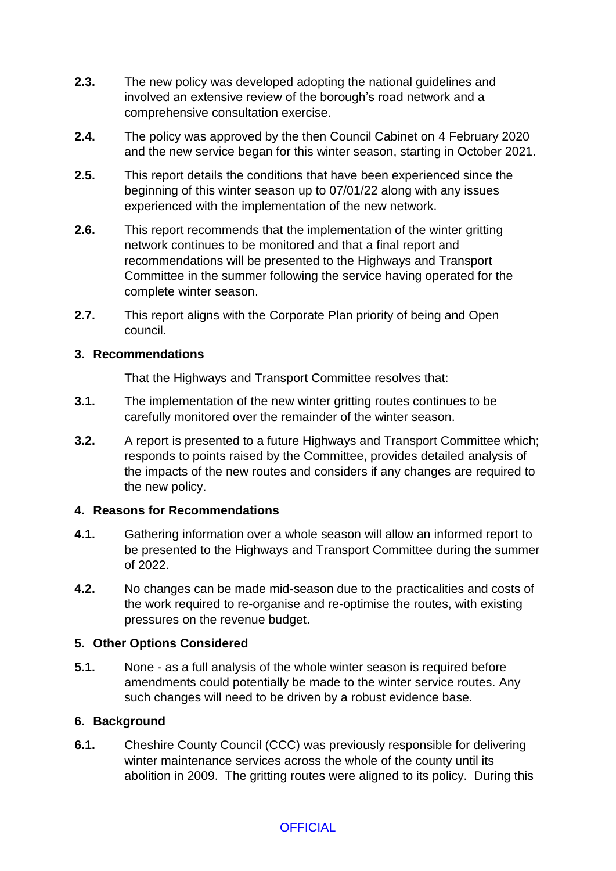- **2.3.** The new policy was developed adopting the national guidelines and involved an extensive review of the borough's road network and a comprehensive consultation exercise.
- **2.4.** The policy was approved by the then Council Cabinet on 4 February 2020 and the new service began for this winter season, starting in October 2021.
- **2.5.** This report details the conditions that have been experienced since the beginning of this winter season up to 07/01/22 along with any issues experienced with the implementation of the new network.
- **2.6.** This report recommends that the implementation of the winter gritting network continues to be monitored and that a final report and recommendations will be presented to the Highways and Transport Committee in the summer following the service having operated for the complete winter season.
- **2.7.** This report aligns with the Corporate Plan priority of being and Open council.

### **3. Recommendations**

That the Highways and Transport Committee resolves that:

- **3.1.** The implementation of the new winter gritting routes continues to be carefully monitored over the remainder of the winter season.
- **3.2.** A report is presented to a future Highways and Transport Committee which; responds to points raised by the Committee, provides detailed analysis of the impacts of the new routes and considers if any changes are required to the new policy.

### **4. Reasons for Recommendations**

- **4.1.** Gathering information over a whole season will allow an informed report to be presented to the Highways and Transport Committee during the summer of 2022.
- **4.2.** No changes can be made mid-season due to the practicalities and costs of the work required to re-organise and re-optimise the routes, with existing pressures on the revenue budget.

### **5. Other Options Considered**

**5.1.** None - as a full analysis of the whole winter season is required before amendments could potentially be made to the winter service routes. Any such changes will need to be driven by a robust evidence base.

### **6. Background**

**6.1.** Cheshire County Council (CCC) was previously responsible for delivering winter maintenance services across the whole of the county until its abolition in 2009. The gritting routes were aligned to its policy. During this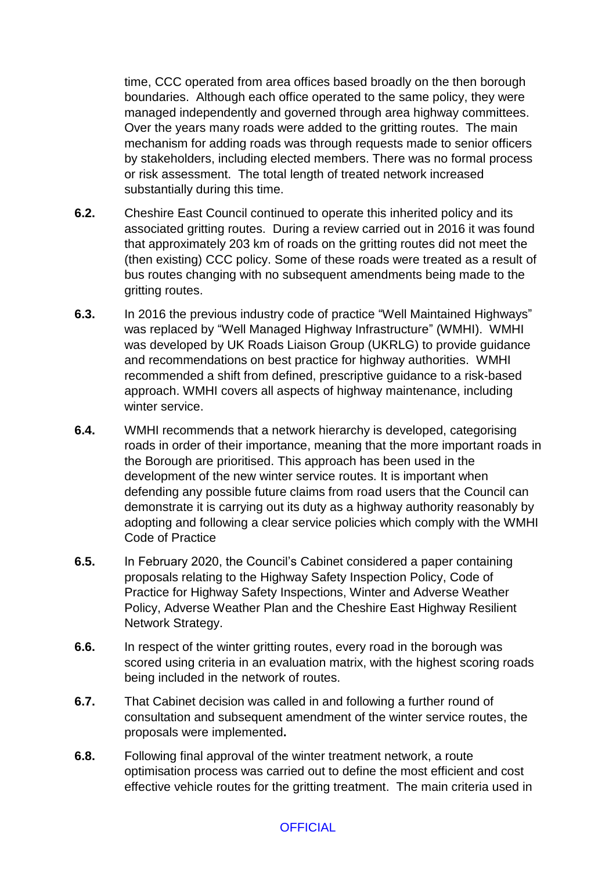time, CCC operated from area offices based broadly on the then borough boundaries. Although each office operated to the same policy, they were managed independently and governed through area highway committees. Over the years many roads were added to the gritting routes. The main mechanism for adding roads was through requests made to senior officers by stakeholders, including elected members. There was no formal process or risk assessment. The total length of treated network increased substantially during this time.

- **6.2.** Cheshire East Council continued to operate this inherited policy and its associated gritting routes. During a review carried out in 2016 it was found that approximately 203 km of roads on the gritting routes did not meet the (then existing) CCC policy. Some of these roads were treated as a result of bus routes changing with no subsequent amendments being made to the gritting routes.
- **6.3.** In 2016 the previous industry code of practice "Well Maintained Highways" was replaced by "Well Managed Highway Infrastructure" (WMHI). WMHI was developed by UK Roads Liaison Group (UKRLG) to provide guidance and recommendations on best practice for highway authorities. WMHI recommended a shift from defined, prescriptive guidance to a risk-based approach. WMHI covers all aspects of highway maintenance, including winter service.
- **6.4.** WMHI recommends that a network hierarchy is developed, categorising roads in order of their importance, meaning that the more important roads in the Borough are prioritised. This approach has been used in the development of the new winter service routes. It is important when defending any possible future claims from road users that the Council can demonstrate it is carrying out its duty as a highway authority reasonably by adopting and following a clear service policies which comply with the WMHI Code of Practice
- **6.5.** In February 2020, the Council's Cabinet considered a paper containing proposals relating to the Highway Safety Inspection Policy, Code of Practice for Highway Safety Inspections, Winter and Adverse Weather Policy, Adverse Weather Plan and the Cheshire East Highway Resilient Network Strategy.
- **6.6.** In respect of the winter gritting routes, every road in the borough was scored using criteria in an evaluation matrix, with the highest scoring roads being included in the network of routes.
- **6.7.** That Cabinet decision was called in and following a further round of consultation and subsequent amendment of the winter service routes, the proposals were implemented**.**
- **6.8.** Following final approval of the winter treatment network, a route optimisation process was carried out to define the most efficient and cost effective vehicle routes for the gritting treatment. The main criteria used in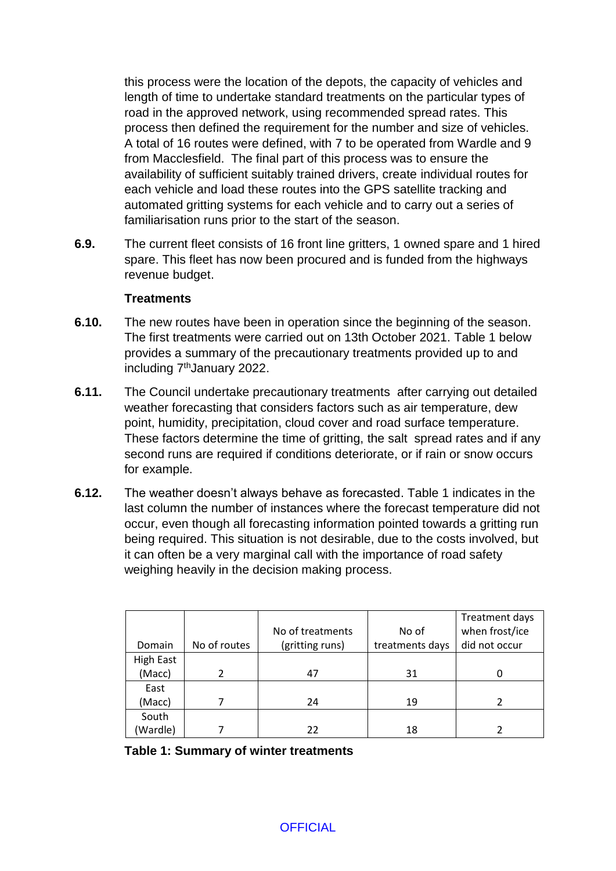this process were the location of the depots, the capacity of vehicles and length of time to undertake standard treatments on the particular types of road in the approved network, using recommended spread rates. This process then defined the requirement for the number and size of vehicles. A total of 16 routes were defined, with 7 to be operated from Wardle and 9 from Macclesfield. The final part of this process was to ensure the availability of sufficient suitably trained drivers, create individual routes for each vehicle and load these routes into the GPS satellite tracking and automated gritting systems for each vehicle and to carry out a series of familiarisation runs prior to the start of the season.

**6.9.** The current fleet consists of 16 front line gritters, 1 owned spare and 1 hired spare. This fleet has now been procured and is funded from the highways revenue budget.

#### **Treatments**

- **6.10.** The new routes have been in operation since the beginning of the season. The first treatments were carried out on 13th October 2021. Table 1 below provides a summary of the precautionary treatments provided up to and including 7<sup>th</sup>January 2022.
- **6.11.** The Council undertake precautionary treatments after carrying out detailed weather forecasting that considers factors such as air temperature, dew point, humidity, precipitation, cloud cover and road surface temperature. These factors determine the time of gritting, the salt spread rates and if any second runs are required if conditions deteriorate, or if rain or snow occurs for example.
- **6.12.** The weather doesn't always behave as forecasted. Table 1 indicates in the last column the number of instances where the forecast temperature did not occur, even though all forecasting information pointed towards a gritting run being required. This situation is not desirable, due to the costs involved, but it can often be a very marginal call with the importance of road safety weighing heavily in the decision making process.

|                  |              |                  |                 | Treatment days |
|------------------|--------------|------------------|-----------------|----------------|
|                  |              | No of treatments | No of           | when frost/ice |
| Domain           | No of routes | (gritting runs)  | treatments days | did not occur  |
| <b>High East</b> |              |                  |                 |                |
| (Macc)           |              | 47               | 31              | 0              |
| East             |              |                  |                 |                |
| (Macc)           |              | 24               | 19              |                |
| South            |              |                  |                 |                |
| (Wardle)         |              | 22               | 18              |                |

**Table 1: Summary of winter treatments**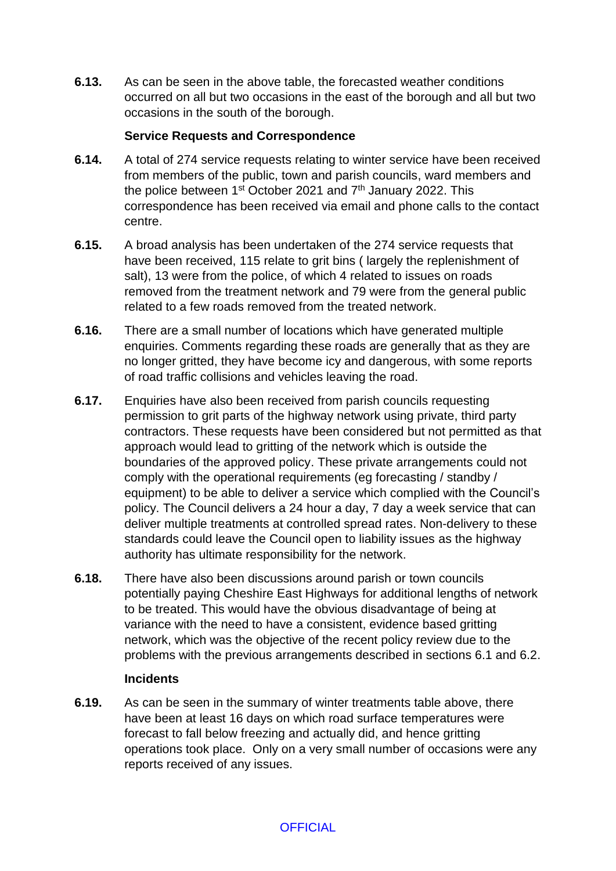**6.13.** As can be seen in the above table, the forecasted weather conditions occurred on all but two occasions in the east of the borough and all but two occasions in the south of the borough.

### **Service Requests and Correspondence**

- **6.14.** A total of 274 service requests relating to winter service have been received from members of the public, town and parish councils, ward members and the police between  $1<sup>st</sup>$  October 2021 and  $7<sup>th</sup>$  January 2022. This correspondence has been received via email and phone calls to the contact centre.
- **6.15.** A broad analysis has been undertaken of the 274 service requests that have been received, 115 relate to grit bins ( largely the replenishment of salt), 13 were from the police, of which 4 related to issues on roads removed from the treatment network and 79 were from the general public related to a few roads removed from the treated network.
- **6.16.** There are a small number of locations which have generated multiple enquiries. Comments regarding these roads are generally that as they are no longer gritted, they have become icy and dangerous, with some reports of road traffic collisions and vehicles leaving the road.
- **6.17.** Enquiries have also been received from parish councils requesting permission to grit parts of the highway network using private, third party contractors. These requests have been considered but not permitted as that approach would lead to gritting of the network which is outside the boundaries of the approved policy. These private arrangements could not comply with the operational requirements (eg forecasting / standby / equipment) to be able to deliver a service which complied with the Council's policy. The Council delivers a 24 hour a day, 7 day a week service that can deliver multiple treatments at controlled spread rates. Non-delivery to these standards could leave the Council open to liability issues as the highway authority has ultimate responsibility for the network.
- **6.18.** There have also been discussions around parish or town councils potentially paying Cheshire East Highways for additional lengths of network to be treated. This would have the obvious disadvantage of being at variance with the need to have a consistent, evidence based gritting network, which was the objective of the recent policy review due to the problems with the previous arrangements described in sections 6.1 and 6.2.

### **Incidents**

**6.19.** As can be seen in the summary of winter treatments table above, there have been at least 16 days on which road surface temperatures were forecast to fall below freezing and actually did, and hence gritting operations took place. Only on a very small number of occasions were any reports received of any issues.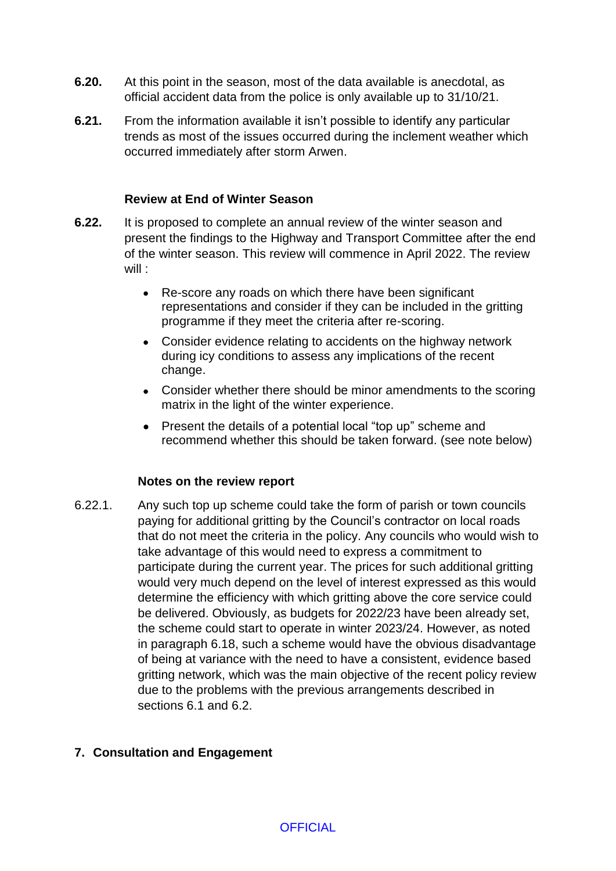- **6.20.** At this point in the season, most of the data available is anecdotal, as official accident data from the police is only available up to 31/10/21.
- **6.21.** From the information available it isn't possible to identify any particular trends as most of the issues occurred during the inclement weather which occurred immediately after storm Arwen.

#### **Review at End of Winter Season**

- **6.22.** It is proposed to complete an annual review of the winter season and present the findings to the Highway and Transport Committee after the end of the winter season. This review will commence in April 2022. The review will :
	- Re-score any roads on which there have been significant representations and consider if they can be included in the gritting programme if they meet the criteria after re-scoring.
	- Consider evidence relating to accidents on the highway network during icy conditions to assess any implications of the recent change.
	- Consider whether there should be minor amendments to the scoring matrix in the light of the winter experience.
	- Present the details of a potential local "top up" scheme and recommend whether this should be taken forward. (see note below)

#### **Notes on the review report**

6.22.1. Any such top up scheme could take the form of parish or town councils paying for additional gritting by the Council's contractor on local roads that do not meet the criteria in the policy. Any councils who would wish to take advantage of this would need to express a commitment to participate during the current year. The prices for such additional gritting would very much depend on the level of interest expressed as this would determine the efficiency with which gritting above the core service could be delivered. Obviously, as budgets for 2022/23 have been already set, the scheme could start to operate in winter 2023/24. However, as noted in paragraph 6.18, such a scheme would have the obvious disadvantage of being at variance with the need to have a consistent, evidence based gritting network, which was the main objective of the recent policy review due to the problems with the previous arrangements described in sections 6.1 and 6.2.

### **7. Consultation and Engagement**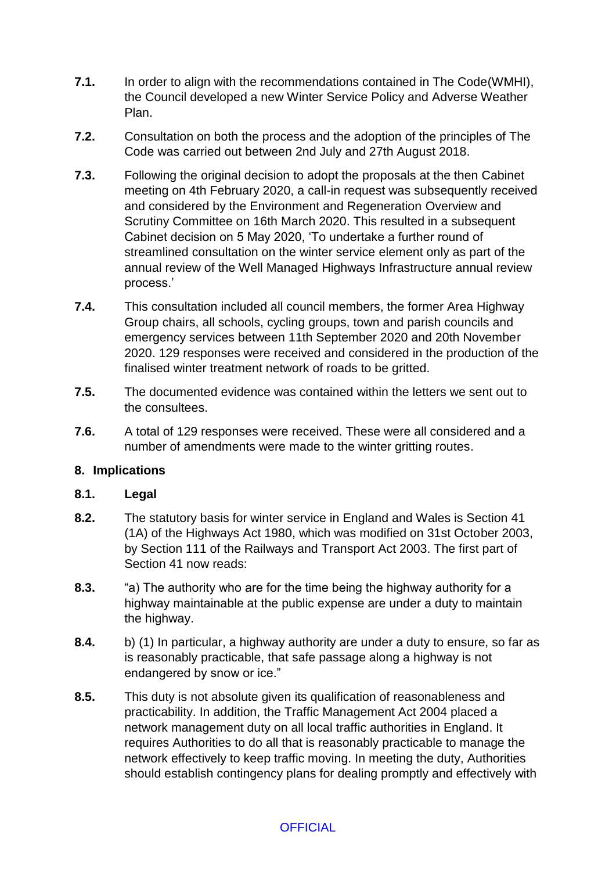- **7.1.** In order to align with the recommendations contained in The Code(WMHI), the Council developed a new Winter Service Policy and Adverse Weather Plan.
- **7.2.** Consultation on both the process and the adoption of the principles of The Code was carried out between 2nd July and 27th August 2018.
- **7.3.** Following the original decision to adopt the proposals at the then Cabinet meeting on 4th February 2020, a call-in request was subsequently received and considered by the Environment and Regeneration Overview and Scrutiny Committee on 16th March 2020. This resulted in a subsequent Cabinet decision on 5 May 2020, 'To undertake a further round of streamlined consultation on the winter service element only as part of the annual review of the Well Managed Highways Infrastructure annual review process.'
- **7.4.** This consultation included all council members, the former Area Highway Group chairs, all schools, cycling groups, town and parish councils and emergency services between 11th September 2020 and 20th November 2020. 129 responses were received and considered in the production of the finalised winter treatment network of roads to be gritted.
- **7.5.** The documented evidence was contained within the letters we sent out to the consultees.
- **7.6.** A total of 129 responses were received. These were all considered and a number of amendments were made to the winter gritting routes.

# **8. Implications**

### **8.1. Legal**

- **8.2.** The statutory basis for winter service in England and Wales is Section 41 (1A) of the Highways Act 1980, which was modified on 31st October 2003, by Section 111 of the Railways and Transport Act 2003. The first part of Section 41 now reads:
- **8.3.** "a) The authority who are for the time being the highway authority for a highway maintainable at the public expense are under a duty to maintain the highway.
- **8.4.** b) (1) In particular, a highway authority are under a duty to ensure, so far as is reasonably practicable, that safe passage along a highway is not endangered by snow or ice."
- **8.5.** This duty is not absolute given its qualification of reasonableness and practicability. In addition, the Traffic Management Act 2004 placed a network management duty on all local traffic authorities in England. It requires Authorities to do all that is reasonably practicable to manage the network effectively to keep traffic moving. In meeting the duty, Authorities should establish contingency plans for dealing promptly and effectively with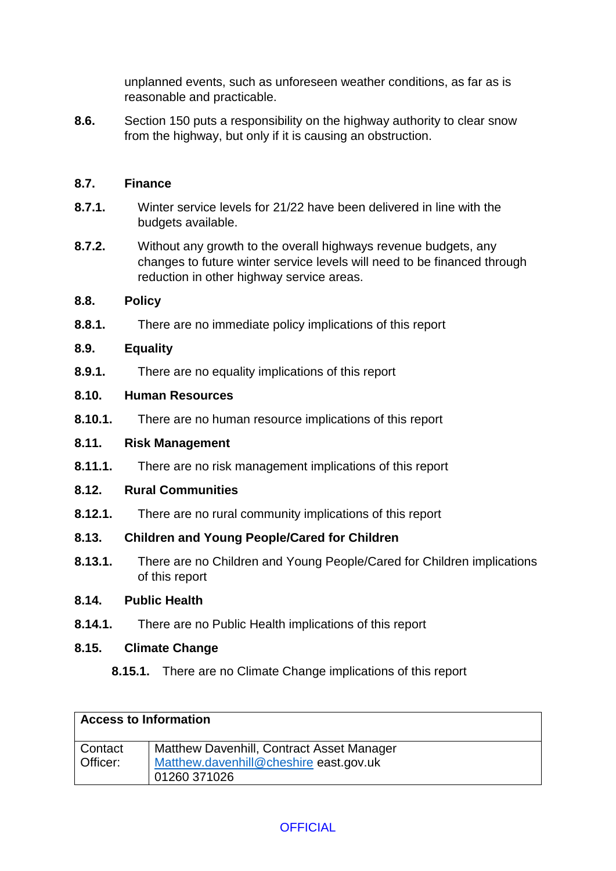unplanned events, such as unforeseen weather conditions, as far as is reasonable and practicable.

**8.6.** Section 150 puts a responsibility on the highway authority to clear snow from the highway, but only if it is causing an obstruction.

### **8.7. Finance**

- **8.7.1.** Winter service levels for 21/22 have been delivered in line with the budgets available.
- **8.7.2.** Without any growth to the overall highways revenue budgets, any changes to future winter service levels will need to be financed through reduction in other highway service areas.

### **8.8. Policy**

**8.8.1.** There are no immediate policy implications of this report

### **8.9. Equality**

**8.9.1.** There are no equality implications of this report

### **8.10. Human Resources**

**8.10.1.** There are no human resource implications of this report

### **8.11. Risk Management**

**8.11.1.** There are no risk management implications of this report

### **8.12. Rural Communities**

**8.12.1.** There are no rural community implications of this report

# **8.13. Children and Young People/Cared for Children**

**8.13.1.** There are no Children and Young People/Cared for Children implications of this report

### **8.14. Public Health**

**8.14.1.** There are no Public Health implications of this report

### **8.15. Climate Change**

# **8.15.1.** There are no Climate Change implications of this report

| <b>Access to Information</b> |                                           |  |
|------------------------------|-------------------------------------------|--|
| Contact                      | Matthew Davenhill, Contract Asset Manager |  |
| Officer:                     | Matthew.davenhill@cheshire east.gov.uk    |  |
|                              | 01260 371026                              |  |